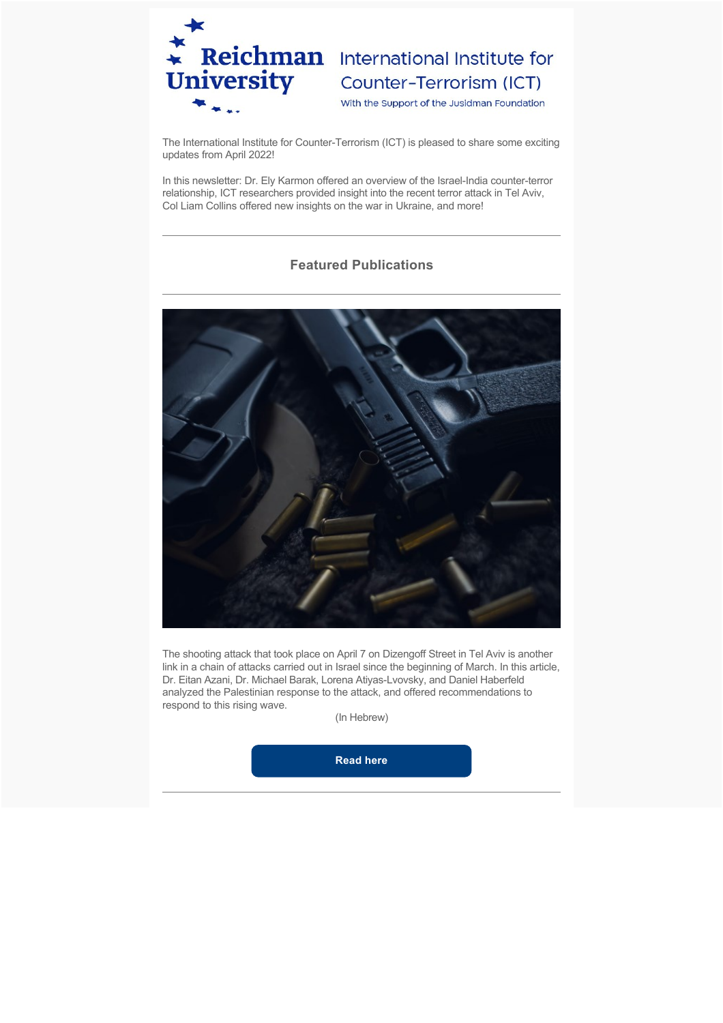

# Reichman International Institute for<br>
University Counter-Terrorism (ICT)

With the Support of the Jusidman Foundation

The International Institute for Counter-Terrorism (ICT) is pleased to share some exciting updates from April 2022!

In this newsletter: Dr. Ely Karmon offered an overview of the Israel-India counter-terror relationship, ICT researchers provided insight into the recent terror attack in Tel Aviv, Col Liam Collins offered new insights on the war in Ukraine, and more!

## **Featured Publications**



The shooting attack that took place on April 7 on Dizengoff Street in Tel Aviv is another link in a chain of attacks carried out in Israel since the beginning of March. In this article, Dr. Eitan Azani, Dr. Michael Barak, Lorena Atiyas-Lvovsky, and Daniel Haberfeld analyzed the Palestinian response to the attack, and offered recommendations to respond to this rising wave.

(In Hebrew)

**[Read here](https://www.dropbox.com/s/g4sn9e5johm2r6s/%D7%94%D7%A4%D7%99%D7%92%D7%95%D7%A2%20%D7%91%D7%A8%D7%97%D7%95%D7%91%20%D7%93%D7%99%D7%96%D7%99%D7%A0%D7%92%D7%95%D7%A3%20-%20%D7%A4%D7%95%D7%A8%D7%9E%D7%98.pdf?dl=0)**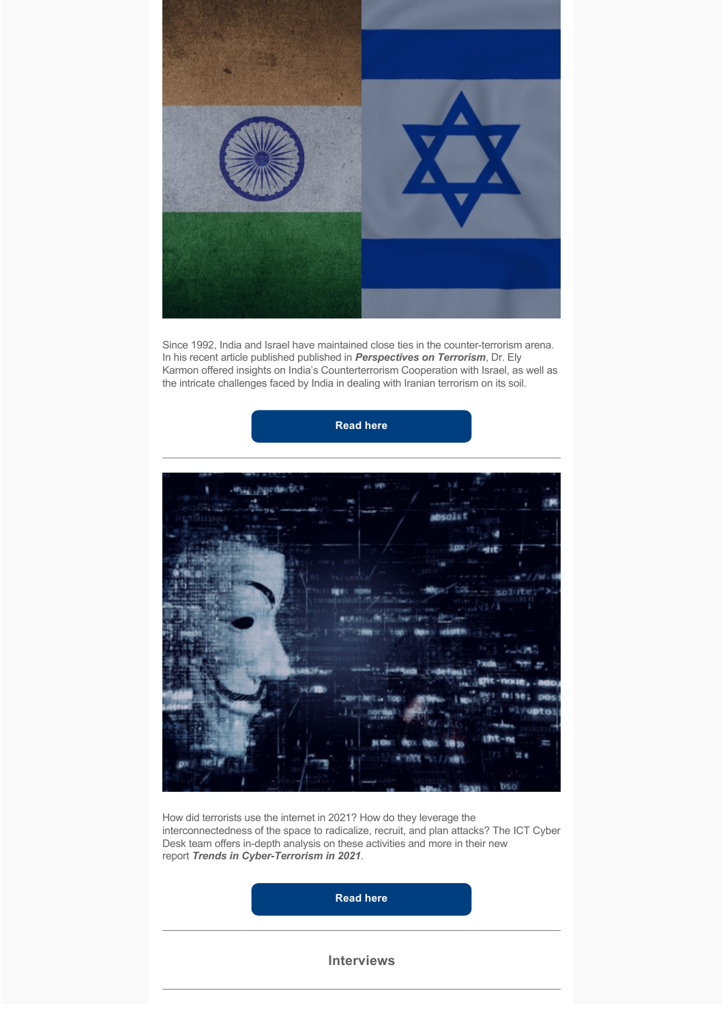

Since 1992, India and Israel have maintained close ties in the counter-terrorism arena. In his recent article published published in *Perspectives on Terrorism*, Dr. Ely Karmon offered insights on India's Counterterrorism Cooperation with Israel, as well as the intricate challenges faced by India in dealing with Iranian terrorism on its soil.

**[Read here](https://www.universiteitleiden.nl/binaries/content/assets/customsites/perspectives-on-terrorism/2022/issue-2/karmon.pdf)**



How did terrorists use the internet in 2021? How do they leverage the interconnectedness of the space to radicalize, recruit, and plan attacks? The ICT Cyber Desk team offers in-depth analysis on these activities and more in their new report *Trends in Cyber-Terrorism in 2021*.

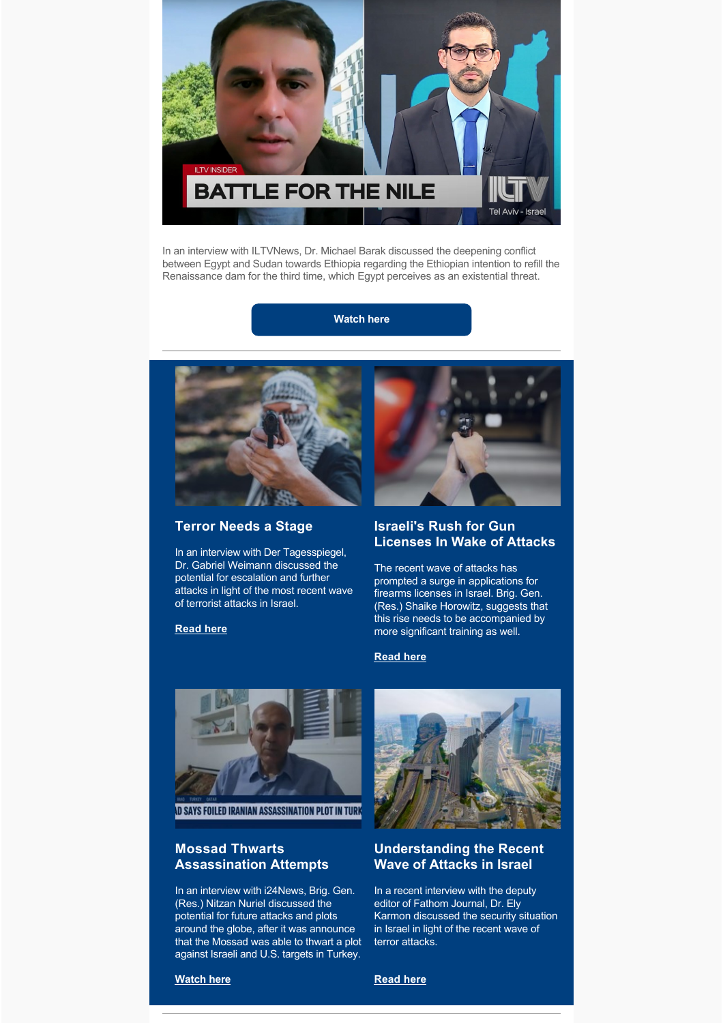

In an interview with ILTVNews, Dr. Michael Barak discussed the deepening conflict between Egypt and Sudan towards Ethiopia regarding the Ethiopian intention to refill the Renaissance dam for the third time, which Egypt perceives as an existential threat.

**[Watch here](https://www.youtube.com/watch?v=jzO6Yrm57_M)**



## **Terror Needs a Stage**

In an interview with Der Tagesspiegel, Dr. Gabriel Weimann discussed the potential for escalation and further attacks in light of the most recent wave of terrorist attacks in Israel.

**[Read here](https://www.tagesspiegel.de/politik/attentate-in-israel-terror-braucht-wie-das-theater-eine-buehne/28248156.html)**



#### **Israeli's Rush for Gun Licenses In Wake of Attacks**

The recent wave of attacks has prompted a surge in applications for firearms licenses in Israel. Brig. Gen. (Res.) Shaike Horowitz, suggests that this rise needs to be accompanied by more significant training as well.

#### **[Read here](https://www.bloomberg.com/news/articles/2022-04-12/israelis-rush-for-gun-licenses-after-series-of-fatal-shootings)**



**D SAYS FOILED IRANIAN ASSASSINATION PLOT IN TURK** 

## **Mossad Thwarts Assassination Attempts**

In an interview with i24News, Brig. Gen. (Res.) Nitzan Nuriel discussed the potential for future attacks and plots around the globe, after it was announce that the Mossad was able to thwart a plot against Israeli and U.S. targets in Turkey.



## **Understanding the Recent Wave of Attacks in Israel**

In a recent interview with the deputy editor of Fathom Journal, Dr. Ely Karmon discussed the security situation in Israel in light of the recent wave of terror attacks.

**[Watch here](https://twitter.com/i24NEWS_EN/status/1520939809296068610?s=20&t=7DeGGfNzopeXraw8n5TD6w)**

# **[Read here](https://fathomjournal.org/understanding-the-recent-terror-attacks-in-israel/)**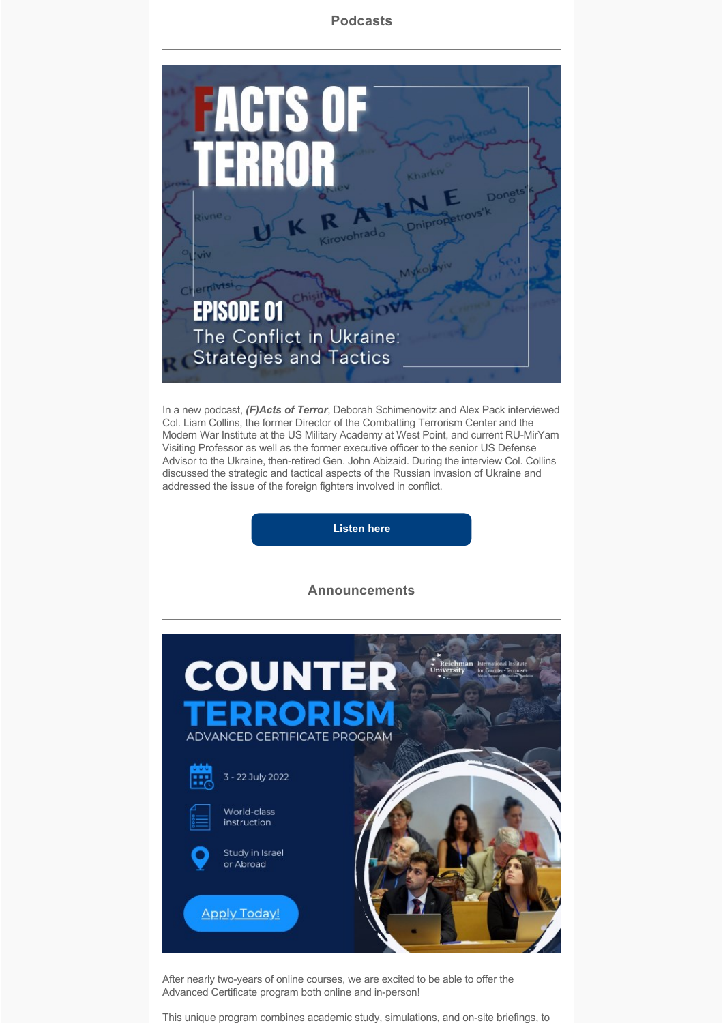#### **Podcasts**



In a new podcast, *(F)Acts of Terror*, Deborah Schimenovitz and Alex Pack interviewed Col. Liam Collins, the former Director of the Combatting Terrorism Center and the Modern War Institute at the US Military Academy at West Point, and current RU-MirYam Visiting Professor as well as the former executive officer to the senior US Defense Advisor to the Ukraine, then-retired Gen. John Abizaid. During the interview Col. Collins discussed the strategic and tactical aspects of the Russian invasion of Ukraine and addressed the issue of the foreign fighters involved in conflict.

**[Listen here](https://linktr.ee/facts_of_terror)**

#### **Announcements**



After nearly two-years of online courses, we are excited to be able to offer the Advanced Certificate program both online and in-person!

This unique program combines academic study, simulations, and on-site briefings, to